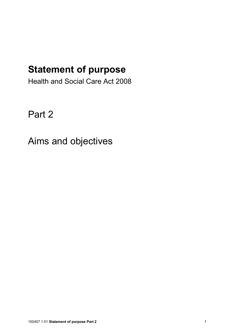## Statement of purpose

Health and Social Care Act 2008

Part 2

Aims and objectives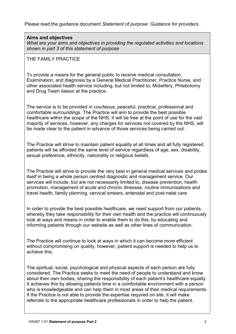Please read the guidance document Statement of purpose: Guidance for providers.

## Aims and objectives

What are your aims and objectives in providing the regulated activities and locations shown in part 3 of this statement of purpose

## THE FAMILY PRACTICE

To provide a means for the general public to receive medical consultation, Examination, and diagnosis by a General Medical Practitioner, Practice Nurse, and other associated health service including, but not limited to, Midwifery, Phlebotomy and Drug Team liaison at the practice.

The service is to be provided in courteous, peaceful, practical, professional and comfortable surroundings. The Practice will aim to provide the best possible healthcare within the scope of the NHS. It will be free at the point of use for the vast majority of services, however, any charges for services not covered by the NHS, will be made clear to the patient in advance of those services being carried out.

The Practice will strive to maintain patient equality at all times and all fully registered patients will be afforded the same level of service regardless of age, sex, disability, sexual preference, ethnicity, nationality or religious beliefs.

The Practice will strive to provide the very best in general medical services and prides itself in being a whole person centred diagnostic and management service. Our services will include, but are not necessarily limited to, disease prevention, health promotion, management of acute and chronic illnesses, routine immunisations and travel health, family planning, cervical smears, antenatal and post-natal care.

In order to provide the best possible healthcare, we need support from our patients, whereby they take responsibility for their own health and the practice will continuously look at ways and means in order to enable them to do this, by educating and informing patients through our website as well as other lines of communication.

The Practice will continue to look at ways in which it can become more efficient without compromising on quality, however, patient support is needed to help us to achieve this.

The spiritual, social, psychological and physical aspects of each person are fully considered. The Practice seeks to meet the need of people to understand and know about their own bodies, sharing the responsibility of each patient's healthcare equally. It achieves this by allowing patients time in a comfortable environment with a person who is knowledgeable and can help them in most areas of their medical requirements. If the Practice is not able to provide the expertise required on site, it will make referrals to the appropriate healthcare professionals in order to help the patient.